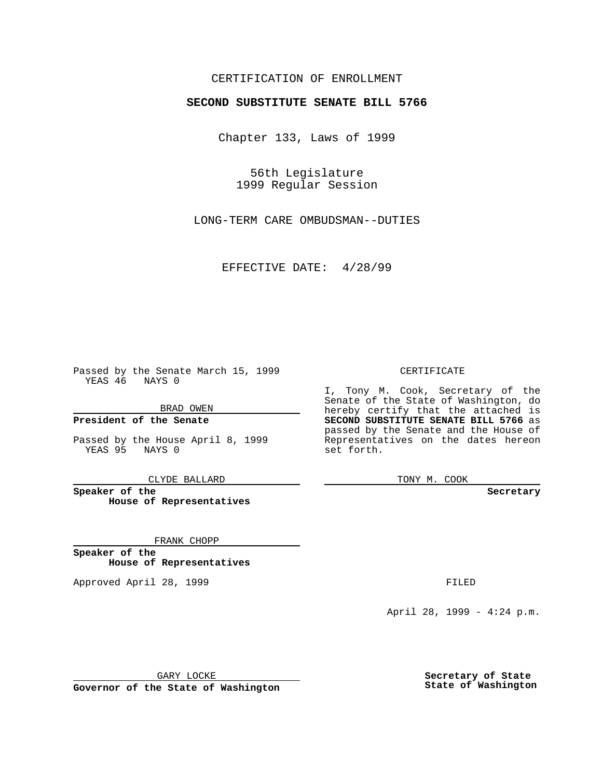### CERTIFICATION OF ENROLLMENT

# **SECOND SUBSTITUTE SENATE BILL 5766**

Chapter 133, Laws of 1999

56th Legislature 1999 Regular Session

LONG-TERM CARE OMBUDSMAN--DUTIES

EFFECTIVE DATE: 4/28/99

Passed by the Senate March 15, 1999 YEAS 46 NAYS 0

BRAD OWEN

**President of the Senate**

Passed by the House April 8, 1999 YEAS 95 NAYS 0

CLYDE BALLARD

**Speaker of the House of Representatives**

FRANK CHOPP

**Speaker of the House of Representatives**

Approved April 28, 1999 **FILED** 

#### CERTIFICATE

I, Tony M. Cook, Secretary of the Senate of the State of Washington, do hereby certify that the attached is **SECOND SUBSTITUTE SENATE BILL 5766** as passed by the Senate and the House of Representatives on the dates hereon set forth.

TONY M. COOK

#### **Secretary**

April 28, 1999 - 4:24 p.m.

GARY LOCKE

**Governor of the State of Washington**

**Secretary of State State of Washington**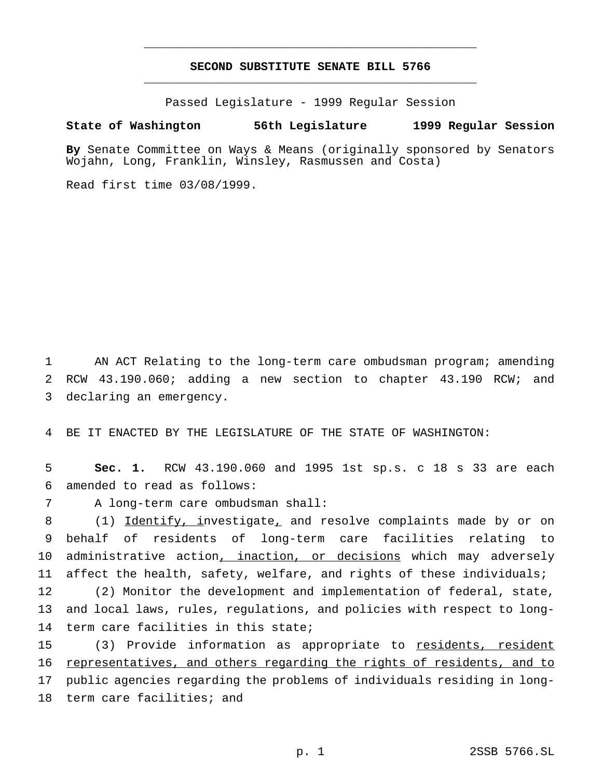## **SECOND SUBSTITUTE SENATE BILL 5766** \_\_\_\_\_\_\_\_\_\_\_\_\_\_\_\_\_\_\_\_\_\_\_\_\_\_\_\_\_\_\_\_\_\_\_\_\_\_\_\_\_\_\_\_\_\_\_

\_\_\_\_\_\_\_\_\_\_\_\_\_\_\_\_\_\_\_\_\_\_\_\_\_\_\_\_\_\_\_\_\_\_\_\_\_\_\_\_\_\_\_\_\_\_\_

Passed Legislature - 1999 Regular Session

### **State of Washington 56th Legislature 1999 Regular Session**

**By** Senate Committee on Ways & Means (originally sponsored by Senators Wojahn, Long, Franklin, Winsley, Rasmussen and Costa)

Read first time 03/08/1999.

1 AN ACT Relating to the long-term care ombudsman program; amending 2 RCW 43.190.060; adding a new section to chapter 43.190 RCW; and 3 declaring an emergency.

4 BE IT ENACTED BY THE LEGISLATURE OF THE STATE OF WASHINGTON:

5 **Sec. 1.** RCW 43.190.060 and 1995 1st sp.s. c 18 s 33 are each 6 amended to read as follows:

7 A long-term care ombudsman shall:

 (1) Identify, investigate, and resolve complaints made by or on behalf of residents of long-term care facilities relating to 10 administrative action, inaction, or decisions which may adversely affect the health, safety, welfare, and rights of these individuals;

12 (2) Monitor the development and implementation of federal, state, 13 and local laws, rules, regulations, and policies with respect to long-14 term care facilities in this state;

 (3) Provide information as appropriate to residents, resident representatives, and others regarding the rights of residents, and to public agencies regarding the problems of individuals residing in long-term care facilities; and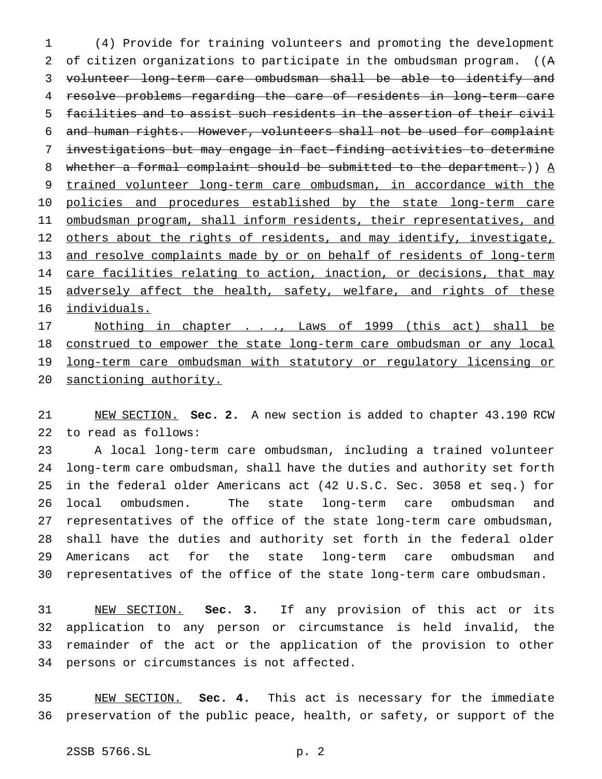(4) Provide for training volunteers and promoting the development of citizen organizations to participate in the ombudsman program. ((A volunteer long-term care ombudsman shall be able to identify and resolve problems regarding the care of residents in long-term care facilities and to assist such residents in the assertion of their civil and human rights. However, volunteers shall not be used for complaint investigations but may engage in fact-finding activities to determine 8 whether a formal complaint should be submitted to the department.)  $A$  trained volunteer long-term care ombudsman, in accordance with the 10 policies and procedures established by the state long-term care 11 ombudsman program, shall inform residents, their representatives, and 12 others about the rights of residents, and may identify, investigate, and resolve complaints made by or on behalf of residents of long-term 14 care facilities relating to action, inaction, or decisions, that may 15 adversely affect the health, safety, welfare, and rights of these individuals. 17 Mothing in chapter . . ., Laws of 1999 (this act) shall be

 construed to empower the state long-term care ombudsman or any local 19 long-term care ombudsman with statutory or regulatory licensing or sanctioning authority.

 NEW SECTION. **Sec. 2.** A new section is added to chapter 43.190 RCW to read as follows:

 A local long-term care ombudsman, including a trained volunteer long-term care ombudsman, shall have the duties and authority set forth in the federal older Americans act (42 U.S.C. Sec. 3058 et seq.) for local ombudsmen. The state long-term care ombudsman and representatives of the office of the state long-term care ombudsman, shall have the duties and authority set forth in the federal older Americans act for the state long-term care ombudsman and representatives of the office of the state long-term care ombudsman.

 NEW SECTION. **Sec. 3.** If any provision of this act or its application to any person or circumstance is held invalid, the remainder of the act or the application of the provision to other persons or circumstances is not affected.

 NEW SECTION. **Sec. 4.** This act is necessary for the immediate preservation of the public peace, health, or safety, or support of the